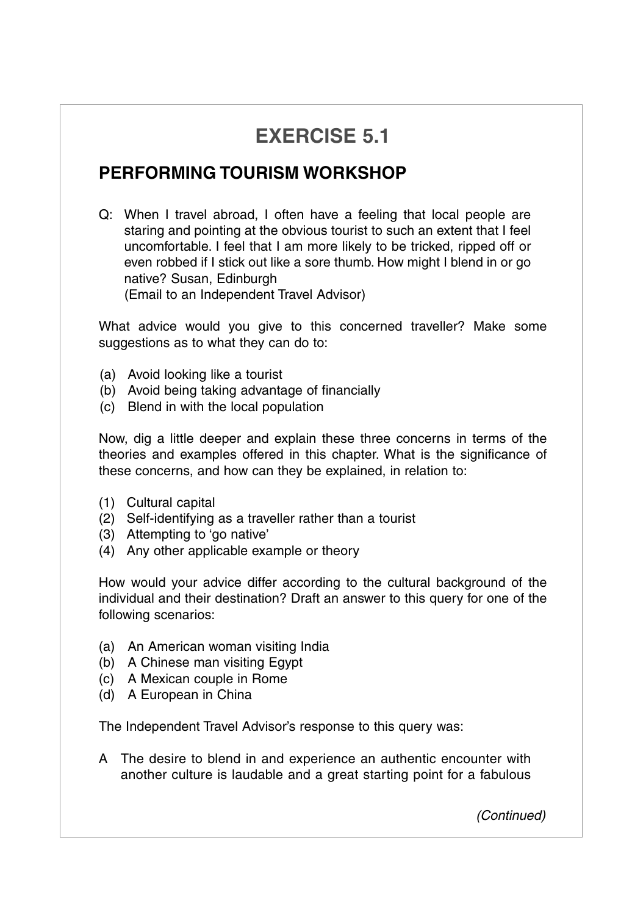## **EXERCISE 5.1**

## **PERFORMING TOURISM WORKSHOP**

Q: When I travel abroad, I often have a feeling that local people are staring and pointing at the obvious tourist to such an extent that I feel uncomfortable. I feel that I am more likely to be tricked, ripped off or even robbed if I stick out like a sore thumb. How might I blend in or go native? Susan, Edinburgh (Email to an Independent Travel Advisor)

What advice would you give to this concerned traveller? Make some suggestions as to what they can do to:

- (a) Avoid looking like a tourist
- (b) Avoid being taking advantage of financially
- (c) Blend in with the local population

Now, dig a little deeper and explain these three concerns in terms of the theories and examples offered in this chapter. What is the significance of these concerns, and how can they be explained, in relation to:

- (1) Cultural capital
- (2) Self-identifying as a traveller rather than a tourist
- (3) Attempting to 'go native'
- (4) Any other applicable example or theory

How would your advice differ according to the cultural background of the individual and their destination? Draft an answer to this query for one of the following scenarios:

- (a) An American woman visiting India
- (b) A Chinese man visiting Egypt
- (c) A Mexican couple in Rome
- (d) A European in China

The Independent Travel Advisor's response to this query was:

A The desire to blend in and experience an authentic encounter with another culture is laudable and a great starting point for a fabulous

*(Continued)*